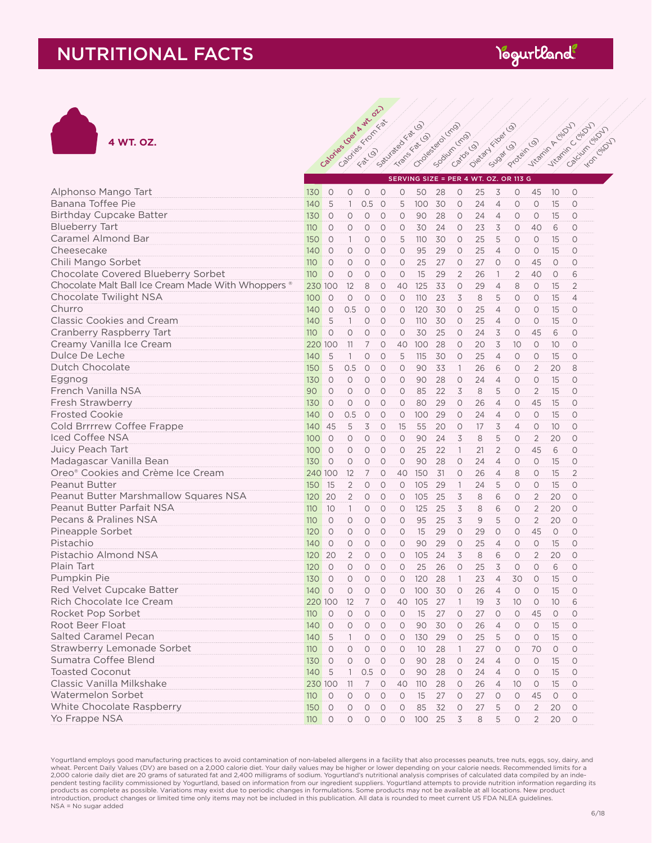## NUTRITIONAL FACTS





|                                                    | SERVING SIZE = PER 4 WT. OZ. OR 113 G |           |                     |                |            |                     |                 |    |                          |    |                |                     |                |         |                |
|----------------------------------------------------|---------------------------------------|-----------|---------------------|----------------|------------|---------------------|-----------------|----|--------------------------|----|----------------|---------------------|----------------|---------|----------------|
| Alphonso Mango Tart                                | 130                                   | $\circ$   | $\circ$             | $\circ$        | $\circ$    | $\circ$             | 50              | 28 | $\circ$                  | 25 | 3              | $\circ$             | 45             | 10      | $\circ$        |
| Banana Toffee Pie                                  | 140                                   | 5         | $\mathbf{1}$        | 0.5            | $\circ$    | 5                   | 100             | 30 | $\circ$                  | 24 | $\overline{4}$ | $\circ$             | $\circ$        | 15      | $\circ$        |
| <b>Birthday Cupcake Batter</b>                     | 130                                   | $\circ$   | $\circ$             | $\circ$        | $\circ$    | $\circ$             | 90              | 28 | $\circ$                  | 24 | $\overline{4}$ | $\circ$             | $\circ$        | 15      | $\circ$        |
| <b>Blueberry Tart</b>                              | 110                                   | $\circ$   | $\circlearrowright$ | $\circ$        | $\circ$    | $\circlearrowright$ | 30              | 24 | $\circlearrowright$      | 23 | 3              | 0                   | 40             | 6       | $\circ$        |
| Caramel Almond Bar                                 | 150                                   | $\circ$   | $\mathbf{1}$        | $\circ$        | $\circ$    | 5                   | 110             | 30 | $\circ$                  | 25 | 5              | $\circ$             | $\circ$        | 15      | $\circ$        |
| Cheesecake                                         | 140                                   | $\circ$   | $\circ$             | $\circ$        | $\circ$    | $\circ$             | 95              | 29 | $\circ$                  | 25 | $\overline{4}$ | $\circ$             | $\circ$        | 15      | $\circ$        |
| Chili Mango Sorbet                                 | 110                                   | $\circ$   | $\circ$             | $\circ$        | $\circ$    | $\circ$             | 25              | 27 | $\circ$                  | 27 | $\circ$        | $\circ$             | 45             | $\circ$ | $\circ$        |
| Chocolate Covered Blueberry Sorbet                 | 110                                   | $\circ$   | $\circ$             | $\circ$        | $\circ$    | $\circ$             | 15              | 29 | $\overline{2}$           | 26 | $\mathbb{1}$   | $\overline{2}$      | 40             | $\circ$ | 6              |
| Chocolate Malt Ball Ice Cream Made With Whoppers ® | 230 100                               |           | 12                  | 8              | $\circ$    | 40                  | 125             | 33 | $\circ$                  | 29 | $\overline{4}$ | 8                   | $\circ$        | 15      | $\overline{2}$ |
| Chocolate Twilight NSA                             | 100                                   | $\circ$   | $\circ$             | $\circ$        | $\circ$    | $\circ$             | 110             | 23 | 3                        | 8  | 5              | $\circ$             | $\circ$        | 15      | $\overline{4}$ |
| Churro                                             | 140                                   | $\circ$   | 0.5                 | $\circ$        | $\circ$    | $\circ$             | 120             | 30 | $\circ$                  | 25 | $\overline{4}$ | $\circ$             | $\circ$        | 15      | $\circ$        |
| <b>Classic Cookies and Cream</b>                   | 140                                   | 5         | $\overline{1}$      | $\circ$        | $\circ$    | $\circ$             | 110             | 30 | $\circ$                  | 25 | $\overline{4}$ | $\circ$             | $\circ$        | 15      | $\circ$        |
| Cranberry Raspberry Tart                           | 110                                   | $\circ$   | $\circ$             | $\circ$        | $\circ$    | $\circ$             | 30              | 25 | $\circ$                  | 24 | 3              | $\circ$             | 45             | 6       | $\circ$        |
| Creamy Vanilla Ice Cream                           | 220 100                               |           | 11                  | $\overline{7}$ | $\circ$    | 40                  | 100             | 28 | $\circ$                  | 20 | 3              | 10                  | $\circ$        | 10      | $\bigcirc$     |
| Dulce De Leche                                     | 140                                   | 5         | $\mathbf{1}$        | $\circ$        | $\circ$    | 5                   | 115             | 30 | $\circ$                  | 25 | $\overline{4}$ | $\circ$             | $\circ$        | 15      | $\circ$        |
| Dutch Chocolate                                    | 150                                   | 5         | 0.5                 | $\circ$        | $\circ$    | $\circ$             | 90              | 33 | $\overline{1}$           | 26 | 6              | $\circ$             | $\overline{2}$ | 20      | 8              |
| Eggnog                                             | 130                                   | $\circ$   | $\circ$             | $\circ$        | $\circ$    | $\circ$             | 90              | 28 | $\circ$                  | 24 | $\overline{4}$ | $\circ$             | $\circ$        | 15      | $\circ$        |
| French Vanilla NSA                                 | 90                                    | $\circ$   | $\circ$             | $\circ$        | $\circ$    | $\circ$             | 85              | 22 | 3                        | 8  | 5              | $\circ$             | $\overline{2}$ | 15      | $\circ$        |
| Fresh Strawberry                                   | 130                                   | $\circ$   | $\circ$             | $\circ$        | $\bigcirc$ | $\circ$             | 80              | 29 | $\circ$                  | 26 | $\overline{4}$ | $\circ$             | 45             | 15      | $\bigcirc$     |
| <b>Frosted Cookie</b>                              | 140                                   | $\circ$   | 0.5                 | $\circ$        | $\circ$    | $\circ$             | 100             | 29 | $\circ$                  | 24 | $\overline{4}$ | $\circ$             | $\circ$        | 15      | $\circ$        |
| Cold Brrrrew Coffee Frappe                         | 140                                   | 45        | 5                   | 3              | $\circ$    | 15                  | 55              | 20 | $\circ$                  | 17 | 3              | $\overline{4}$      | $\circ$        | 10      | $\circ$        |
| <b>Iced Coffee NSA</b>                             | 100                                   | $\circ$   | $\circ$             | $\circ$        | $\circ$    | $\circ$             | 90              | 24 | 3                        | 8  | 5              | $\circ$             | $\overline{2}$ | 20      | $\circ$        |
| Juicy Peach Tart                                   | 100                                   | $\circ$   | $\circ$             | $\circ$        | $\circ$    | $\circ$             | 25              | 22 | $\mathbf{1}$             | 21 | $\overline{2}$ | $\circ$             | 45             | 6       | $\circ$        |
| Madagascar Vanilla Bean                            | 130                                   | $\circ$   | $\circ$             | $\circ$        | $\circ$    | $\circ$             | 90              | 28 | $\circ$                  | 24 | $\overline{4}$ | $\circ$             | $\circ$        | 15      | $\circ$        |
| Oreo® Cookies and Crème Ice Cream                  | 240 100                               |           | 12                  | $\overline{7}$ | $\circ$    | 40                  | 150             | 31 | $\circ$                  | 26 | $\overline{4}$ | 8                   | $\circ$        | 15      | $\overline{2}$ |
| <b>Peanut Butter</b>                               | 150                                   | 15        | $\overline{2}$      | $\circ$        | $\circ$    | $\circ$             | 105             | 29 | $\overline{1}$           | 24 | 5              | $\circ$             | $\circ$        | 15      | $\circ$        |
| Peanut Butter Marshmallow Squares NSA              | 120                                   | 20        | $\overline{2}$      | $\circ$        | $\circ$    | $\circ$             | 105             | 25 | 3                        | 8  | 6              | $\circ$             | $\overline{2}$ | 20      | $\circ$        |
| Peanut Butter Parfait NSA                          | 110                                   | 10        | $\mathbf{1}$        | $\circ$        | $\circ$    | $\circ$             | 125             | 25 | 3                        | 8  | 6              | $\circ$             | $\overline{2}$ | 20      | $\circ$        |
| Pecans & Pralines NSA                              | 110                                   | $\circ$   | $\circ$             | $\circ$        | $\circ$    | $\circ$             | 95              | 25 | 3                        | 9  | 5              | $\circ$             | $\overline{2}$ | 20      | $\circ$        |
| Pineapple Sorbet                                   | 120                                   | $\circ$   | $\circ$             | $\circ$        | $\circ$    | $\circ$             | 15              | 29 | $\circ$                  | 29 | $\circ$        | $\circ$             | 45             | $\circ$ | $\bigcirc$     |
| Pistachio                                          | 140                                   | $\circ$   | $\circ$             | $\circ$        | $\circ$    | $\circ$             | 90              | 29 | $\circ$                  | 25 | $\overline{4}$ | $\circ$             | $\circ$        | 15      | $\circ$        |
| Pistachio Almond NSA                               | 120                                   | 20        | $\overline{2}$      | $\circ$        | $\circ$    | $\circ$             | 105             | 24 | 3                        | 8  | 6              | $\circ$             | $\overline{2}$ | 20      | $\circ$        |
| Plain Tart                                         | 120                                   | $\circ$   | $\circ$             | $\circ$        | $\circ$    | $\circ$             | 25              | 26 | $\circ$                  | 25 | 3              | $\circlearrowright$ | $\circ$        | 6       | $\circ$        |
| Pumpkin Pie                                        | 130                                   | $\circ$   | $\circ$             | $\circ$        | $\circ$    | $\circ$             | 120             | 28 | $\overline{\phantom{a}}$ | 23 | $\overline{4}$ | 30                  | $\circ$        | 15      | $\circ$        |
| Red Velvet Cupcake Batter                          | 140                                   | $\circ$   | $\circ$             | $\circ$        | $\bigcirc$ | $\circ$             | 100             | 30 | $\circ$                  | 26 | $\overline{4}$ | $\circ$             | $\circ$        | 15      | $\bigcirc$     |
| Rich Chocolate Ice Cream                           | 220 100                               |           | 12                  | $\overline{7}$ | $\circ$    | 40                  | 105             | 27 | $\overline{1}$           | 19 | 3              | 10                  | $\circ$        | 10      | 6              |
| Rocket Pop Sorbet                                  | 110                                   | $\circ$   | $\circ$             | $\circ$        | $\circ$    | $\circ$             | 15              | 27 | $\circ$                  | 27 | $\circ$        | $\circ$             | 45             | $\circ$ | $\circ$        |
| Root Beer Float                                    | 140                                   | $\circ$   | $\circ$             | $\circ$        | $\circ$    | $\circ$             | 90              | 30 | $\circ$                  | 26 | $\overline{4}$ | $\circ$             | $\circ$        | 15      | $\circ$        |
| <b>Salted Caramel Pecan</b>                        | 140                                   | 5         | $\mathbf{1}$        | $\circ$        | $\circ$    | $\circ$             | 130             | 29 | $\circ$                  | 25 | 5              | $\circ$             | $\circ$        | 15      | $\circ$        |
| Strawberry Lemonade Sorbet                         | 110                                   | $\circ$   | $\circ$             | $\circ$        | $\bigcirc$ | $\circ$             | 10 <sup>°</sup> | 28 | $\mathbf{1}$             | 27 | $\Omega$       | $\circ$             | 70             | $\circ$ | $\bigcirc$     |
| Sumatra Coffee Blend                               | 130                                   | $\circ$   | $\circ$             | $\circ$        | $\circ$    | $\circ$             | 90              | 28 | $\circ$                  | 24 | $\overline{4}$ | $\circ$             | $\circ$        | 15      | $\circ$        |
| <b>Toasted Coconut</b>                             | 140                                   | 5         | $\mathbf{1}$        | 0.5            | $\circ$    | $\circ$             | 90              | 28 | $\circ$                  | 24 | $\overline{4}$ | $\circ$             | $\circ$        | 15      | $\circ$        |
| Classic Vanilla Milkshake                          | 230 100                               |           | 11                  | $\overline{7}$ | $\circ$    | 40                  | 110             | 28 | $\circ$                  | 26 | $\overline{4}$ | 10                  | $\circ$        | 15      | $\circ$        |
| Watermelon Sorbet                                  | 110                                   | $\circ$   | $\circ$             | $\circ$        | $\circ$    | $\circ$             | 15              | 27 | $\circ$                  | 27 | $\circ$        | $\circ$             | 45             | $\circ$ | $\circ$        |
| White Chocolate Raspberry                          | 150                                   | $\circ$   | $\circ$             | $\circ$        | $\circ$    | $\circ$             | 85              | 32 | $\circ$                  | 27 | 5              | $\circ$             | $\overline{2}$ | 20      | $\circ$        |
| Yo Frappe NSA                                      | 110                                   | $\bigcap$ | $\Omega$            | $\bigcirc$     | $\bigcirc$ | $\Omega$            | 100             | 25 | 3                        | 8  | 5              | $\circ$             | $\overline{2}$ | 20      | $\bigcirc$     |

Yogurtland employs good manufacturing practices to avoid contamination of non-labeled allergens in a facility that also processes peanuts, tree nuts, eggs, soy, dairy, and<br>wheat. Percent Daily Values (DV) are based on a 2, pendent testing facility commissioned by Yogurtland, based on information from our ingredient suppliers. Yogurtland attempts to provide nutrition information regarding its<br>products as complete as possible. Variations may e introduction, product changes or limited time only items may not be included in this publication. All data is rounded to meet current US FDA NLEA guidelines. NSA = No sugar added